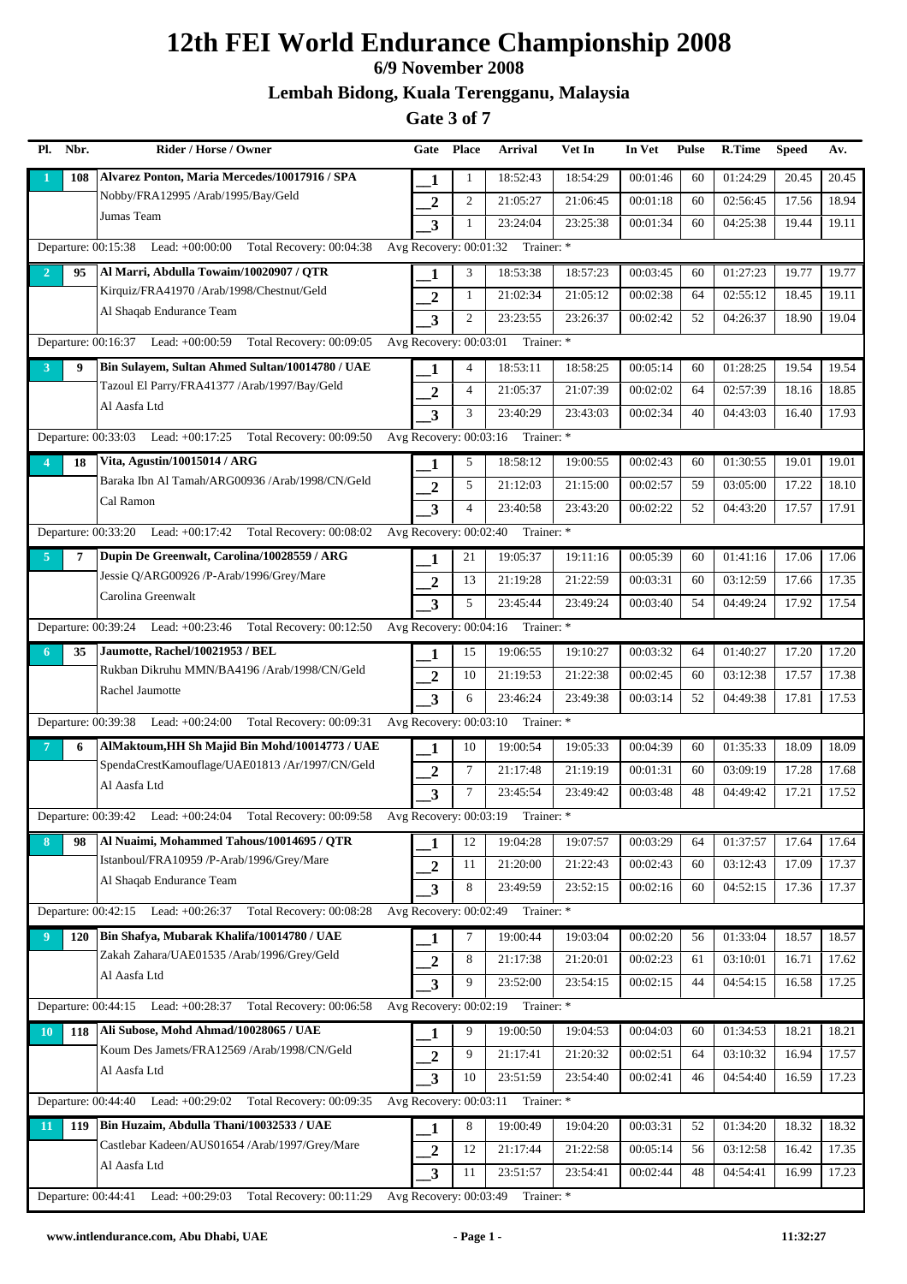## **6/9 November 2008**

**Lembah Bidong, Kuala Terengganu, Malaysia**

|                | Pl. Nbr. | Rider / Horse / Owner                                                | Gate                    | <b>Place</b>   | <b>Arrival</b>                    | Vet In   | In Vet   | <b>Pulse</b> | R.Time   | <b>Speed</b> | Av.   |
|----------------|----------|----------------------------------------------------------------------|-------------------------|----------------|-----------------------------------|----------|----------|--------------|----------|--------------|-------|
|                | 108      | Alvarez Ponton, Maria Mercedes/10017916 / SPA                        | 1                       | 1              | 18:52:43                          | 18:54:29 | 00:01:46 | 60           | 01:24:29 | 20.45        | 20.45 |
|                |          | Nobby/FRA12995 /Arab/1995/Bay/Geld                                   | $\boldsymbol{2}$        | 2              | 21:05:27                          | 21:06:45 | 00:01:18 | 60           | 02:56:45 | 17.56        | 18.94 |
|                |          | Jumas Team                                                           | $\overline{3}$          | 1              | 23:24:04                          | 23:25:38 | 00:01:34 | 60           | 04:25:38 | 19.44        | 19.11 |
|                |          | Departure: 00:15:38 Lead: +00:00:00 Total Recovery: 00:04:38         | Avg Recovery: 00:01:32  |                | Trainer: *                        |          |          |              |          |              |       |
| $\overline{2}$ | 95       | Al Marri, Abdulla Towaim/10020907 / QTR                              | 1                       | 3              | 18:53:38                          | 18:57:23 | 00:03:45 | 60           | 01:27:23 | 19.77        | 19.77 |
|                |          | Kirquiz/FRA41970 /Arab/1998/Chestnut/Geld                            | $\overline{2}$          | $\mathbf{1}$   | 21:02:34                          | 21:05:12 | 00:02:38 | 64           | 02:55:12 | 18.45        | 19.11 |
|                |          | Al Shaqab Endurance Team                                             | $\overline{\mathbf{3}}$ | 2              | 23:23:55                          | 23:26:37 | 00:02:42 | 52           | 04:26:37 | 18.90        | 19.04 |
|                |          | Departure: 00:16:37 Lead: +00:00:59 Total Recovery: 00:09:05         | Avg Recovery: 00:03:01  |                | Trainer: *                        |          |          |              |          |              |       |
| 3              | 9        | Bin Sulayem, Sultan Ahmed Sultan/10014780 / UAE                      | 1                       | 4              | 18:53:11                          | 18:58:25 | 00:05:14 | 60           | 01:28:25 | 19.54        | 19.54 |
|                |          | Tazoul El Parry/FRA41377 /Arab/1997/Bay/Geld                         | $\boldsymbol{2}$        | $\overline{4}$ | 21:05:37                          | 21:07:39 | 00:02:02 | 64           | 02:57:39 | 18.16        | 18.85 |
|                |          | Al Aasfa Ltd                                                         | $\overline{\mathbf{3}}$ | 3              | 23:40:29                          | 23:43:03 | 00:02:34 | 40           | 04:43:03 | 16.40        | 17.93 |
|                |          | Departure: 00:33:03 Lead: +00:17:25<br>Total Recovery: 00:09:50      | Avg Recovery: 00:03:16  |                | Trainer: *                        |          |          |              |          |              |       |
|                | 18       | Vita, Agustin/10015014 / ARG                                         | 1                       | 5              | 18:58:12                          | 19:00:55 | 00:02:43 | 60           | 01:30:55 | 19.01        | 19.01 |
|                |          | Baraka Ibn Al Tamah/ARG00936 /Arab/1998/CN/Geld                      | $\boldsymbol{2}$        | 5              | 21:12:03                          | 21:15:00 | 00:02:57 | 59           | 03:05:00 | 17.22        | 18.10 |
|                |          | Cal Ramon                                                            | $\overline{\mathbf{3}}$ | $\overline{4}$ | 23:40:58                          | 23:43:20 | 00:02:22 | 52           | 04:43:20 | 17.57        | 17.91 |
|                |          | Departure: 00:33:20 Lead: +00:17:42 Total Recovery: 00:08:02         | Avg Recovery: 00:02:40  |                | Trainer: *                        |          |          |              |          |              |       |
| $\overline{5}$ | 7        | Dupin De Greenwalt, Carolina/10028559 / ARG                          | 1                       | 21             | 19:05:37                          | 19:11:16 | 00:05:39 | 60           | 01:41:16 | 17.06        | 17.06 |
|                |          | Jessie Q/ARG00926 /P-Arab/1996/Grey/Mare                             | $\overline{2}$          | 13             | 21:19:28                          | 21:22:59 | 00:03:31 | 60           | 03:12:59 | 17.66        | 17.35 |
|                |          | Carolina Greenwalt                                                   | $\overline{\mathbf{3}}$ | 5              | 23:45:44                          | 23:49:24 | 00:03:40 | 54           | 04:49:24 | 17.92        | 17.54 |
|                |          | Departure: 00:39:24 Lead: +00:23:46 Total Recovery: 00:12:50         |                         |                | Avg Recovery: 00:04:16 Trainer: * |          |          |              |          |              |       |
| 6              | 35       | Jaumotte, Rachel/10021953 / BEL                                      | 1                       | 15             | 19:06:55                          | 19:10:27 | 00:03:32 | 64           | 01:40:27 | 17.20        | 17.20 |
|                |          | Rukban Dikruhu MMN/BA4196 /Arab/1998/CN/Geld                         | $\overline{2}$          | 10             | 21:19:53                          | 21:22:38 | 00:02:45 | 60           | 03:12:38 | 17.57        | 17.38 |
|                |          | Rachel Jaumotte                                                      | $\overline{\mathbf{3}}$ | 6              | 23:46:24                          | 23:49:38 | 00:03:14 | 52           | 04:49:38 | 17.81        | 17.53 |
|                |          | Departure: 00:39:38 Lead: +00:24:00 Total Recovery: 00:09:31         | Avg Recovery: 00:03:10  |                | Trainer: *                        |          |          |              |          |              |       |
|                | 6        | AlMaktoum, HH Sh Majid Bin Mohd/10014773 / UAE                       | 1                       | 10             | 19:00:54                          | 19:05:33 | 00:04:39 | 60           | 01:35:33 | 18.09        | 18.09 |
|                |          | SpendaCrestKamouflage/UAE01813 /Ar/1997/CN/Geld                      | $\boldsymbol{2}$        | $\tau$         | 21:17:48                          | 21:19:19 | 00:01:31 | 60           | 03:09:19 | 17.28        | 17.68 |
|                |          | Al Aasfa Ltd                                                         | 3                       | 7              | 23:45:54                          | 23:49:42 | 00:03:48 | 48           | 04:49:42 | 17.21        | 17.52 |
|                |          | Departure: 00:39:42 Lead: +00:24:04 Total Recovery: 00:09:58         | Avg Recovery: 00:03:19  |                | Trainer: *                        |          |          |              |          |              |       |
| 8              | 98       | Al Nuaimi, Mohammed Tahous/10014695 / QTR                            | 1                       | 12             | 19:04:28                          | 19:07:57 | 00:03:29 | 64           | 01:37:57 | 17.64        | 17.64 |
|                |          | Istanboul/FRA10959 /P-Arab/1996/Grey/Mare                            | $\overline{2}$          | 11             | 21:20:00                          | 21:22:43 | 00:02:43 | 60           | 03:12:43 | 17.09        | 17.37 |
|                |          | Al Shaqab Endurance Team                                             | 3                       | 8              | 23:49:59                          | 23:52:15 | 00:02:16 | 60           | 04:52:15 | 17.36        | 17.37 |
|                |          | Departure: 00:42:15 Lead: +00:26:37 Total Recovery: 00:08:28         | Avg Recovery: 00:02:49  |                | Trainer: *                        |          |          |              |          |              |       |
| 9              | 120      | Bin Shafya, Mubarak Khalifa/10014780 / UAE                           | 1                       | 7              | 19:00:44                          | 19:03:04 | 00:02:20 | 56           | 01:33:04 | 18.57        | 18.57 |
|                |          | Zakah Zahara/UAE01535 /Arab/1996/Grey/Geld                           | $\boldsymbol{2}$        | 8              | 21:17:38                          | 21:20:01 | 00:02:23 | 61           | 03:10:01 | 16.71        | 17.62 |
|                |          | Al Aasfa Ltd                                                         | $\overline{\mathbf{3}}$ | 9              | 23:52:00                          | 23:54:15 | 00:02:15 | 44           | 04:54:15 | 16.58        | 17.25 |
|                |          | Departure: 00:44:15 Lead: +00:28:37 Total Recovery: 00:06:58         |                         |                | Avg Recovery: 00:02:19 Trainer: * |          |          |              |          |              |       |
| <b>10</b>      | 118      | Ali Subose, Mohd Ahmad/10028065 / UAE                                | 1                       | 9              | 19:00:50                          | 19:04:53 | 00:04:03 | 60           | 01:34:53 | 18.21        | 18.21 |
|                |          | Koum Des Jamets/FRA12569 /Arab/1998/CN/Geld                          | $\overline{2}$          | 9              | 21:17:41                          | 21:20:32 | 00:02:51 | 64           | 03:10:32 | 16.94        | 17.57 |
|                |          | Al Aasfa Ltd                                                         | 3                       | 10             | 23:51:59                          | 23:54:40 | 00:02:41 | 46           | 04:54:40 | 16.59        | 17.23 |
|                |          | Departure: 00:44:40<br>Lead: $+00:29:02$ Total Recovery: $00:09:35$  | Avg Recovery: 00:03:11  |                | Trainer: *                        |          |          |              |          |              |       |
| 11             | 119      | Bin Huzaim, Abdulla Thani/10032533 / UAE                             | 1                       | 8              | 19:00:49                          | 19:04:20 | 00:03:31 | 52           | 01:34:20 | 18.32        | 18.32 |
|                |          | Castlebar Kadeen/AUS01654 /Arab/1997/Grey/Mare                       | $\overline{2}$          | 12             | 21:17:44                          | 21:22:58 | 00:05:14 | 56           | 03:12:58 | 16.42        | 17.35 |
|                |          | Al Aasfa Ltd                                                         | 3                       | 11             | 23:51:57                          | 23:54:41 | 00:02:44 | 48           | 04:54:41 | 16.99        | 17.23 |
|                |          | Total Recovery: 00:11:29<br>Departure: 00:44:41<br>Lead: $+00:29:03$ | Avg Recovery: 00:03:49  |                | Trainer: *                        |          |          |              |          |              |       |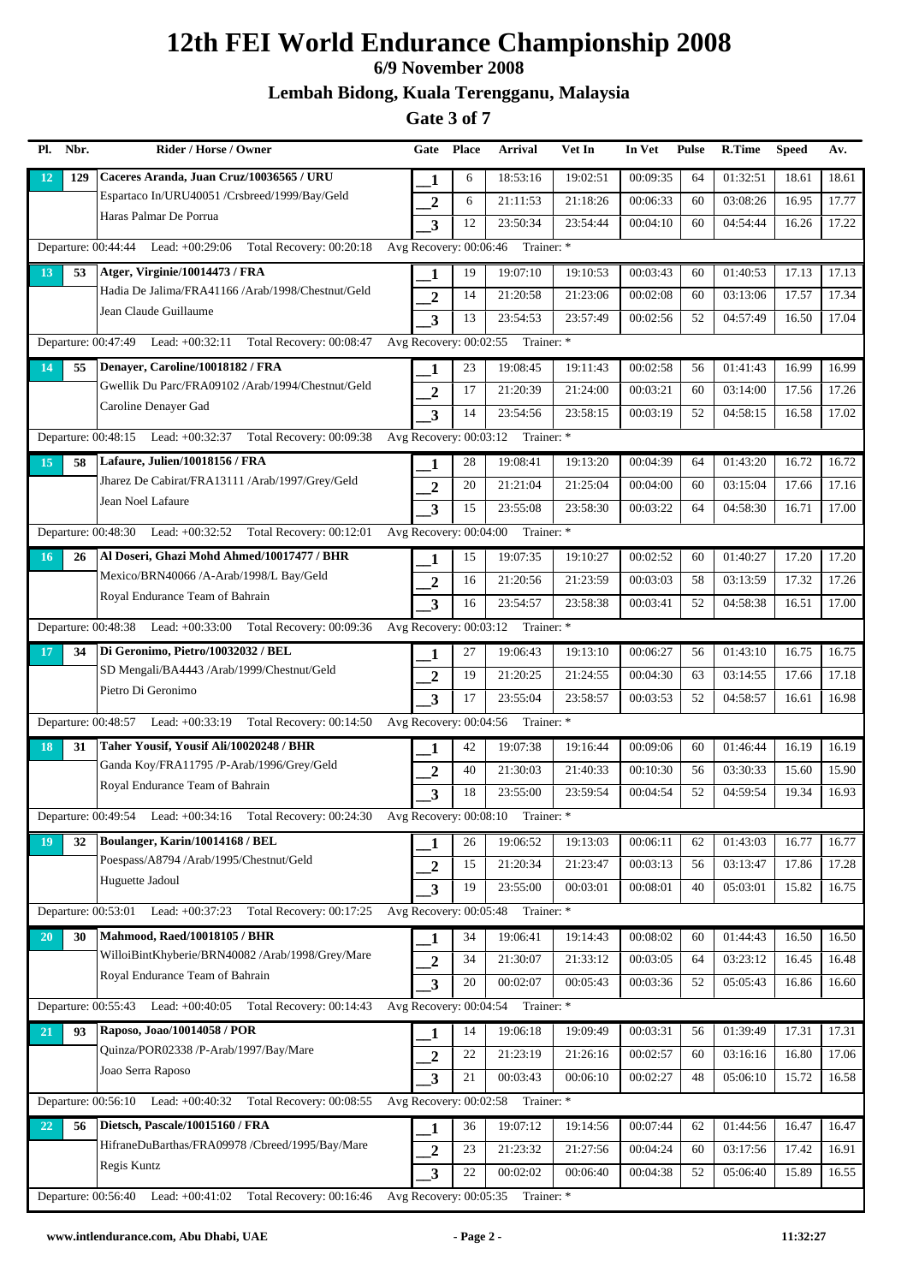## **6/9 November 2008**

### **Lembah Bidong, Kuala Terengganu, Malaysia**

| Pl.<br>Nbr. | Rider / Horse / Owner                                               | Gate                     | Place | <b>Arrival</b>                    | Vet In   | In Vet   | <b>Pulse</b> | R.Time   | <b>Speed</b> | Av.   |
|-------------|---------------------------------------------------------------------|--------------------------|-------|-----------------------------------|----------|----------|--------------|----------|--------------|-------|
| 12          | Caceres Aranda, Juan Cruz/10036565 / URU<br>129                     | 1                        | 6     | 18:53:16                          | 19:02:51 | 00:09:35 | 64           | 01:32:51 | 18.61        | 18.61 |
|             | Espartaco In/URU40051 /Crsbreed/1999/Bay/Geld                       | $\boldsymbol{2}$         | 6     | 21:11:53                          | 21:18:26 | 00:06:33 | 60           | 03:08:26 | 16.95        | 17.77 |
|             | Haras Palmar De Porrua                                              | $\overline{\mathbf{3}}$  | 12    | 23:50:34                          | 23:54:44 | 00:04:10 | 60           | 04:54:44 | 16.26        | 17.22 |
|             | Departure: 00:44:44 Lead: +00:29:06 Total Recovery: 00:20:18        | Avg Recovery: 00:06:46   |       | Trainer: *                        |          |          |              |          |              |       |
| 13          | Atger, Virginie/10014473 / FRA<br>53                                | 1                        | 19    | 19:07:10                          | 19:10:53 | 00:03:43 | 60           | 01:40:53 | 17.13        | 17.13 |
|             | Hadia De Jalima/FRA41166 /Arab/1998/Chestnut/Geld                   | $\overline{2}$           | 14    | 21:20:58                          | 21:23:06 | 00:02:08 | 60           | 03:13:06 | 17.57        | 17.34 |
|             | Jean Claude Guillaume                                               | $\overline{\mathbf{3}}$  | 13    | 23:54:53                          | 23:57:49 | 00:02:56 | 52           | 04:57:49 | 16.50        | 17.04 |
|             | Departure: $00:47:49$ Lead: $+00:32:11$<br>Total Recovery: 00:08:47 | Avg Recovery: 00:02:55   |       | Trainer: *                        |          |          |              |          |              |       |
| 14          | Denayer, Caroline/10018182 / FRA<br>55                              | 1                        | 23    | 19:08:45                          | 19:11:43 | 00:02:58 | 56           | 01:41:43 | 16.99        | 16.99 |
|             | Gwellik Du Parc/FRA09102 /Arab/1994/Chestnut/Geld                   | $\overline{2}$           | 17    | 21:20:39                          | 21:24:00 | 00:03:21 | 60           | 03:14:00 | 17.56        | 17.26 |
|             | Caroline Denayer Gad                                                | $\overline{\mathbf{3}}$  | 14    | 23:54:56                          | 23:58:15 | 00:03:19 | 52           | 04:58:15 | 16.58        | 17.02 |
|             | Departure: 00:48:15 Lead: +00:32:37 Total Recovery: 00:09:38        |                          |       | Avg Recovery: 00:03:12 Trainer: * |          |          |              |          |              |       |
| 15          | Lafaure, Julien/10018156 / FRA<br>58                                | 1                        | 28    | 19:08:41                          | 19:13:20 | 00:04:39 | 64           | 01:43:20 | 16.72        | 16.72 |
|             | Jharez De Cabirat/FRA13111 /Arab/1997/Grey/Geld                     | $\overline{2}$           | 20    | 21:21:04                          | 21:25:04 | 00:04:00 | 60           | 03:15:04 | 17.66        | 17.16 |
|             | Jean Noel Lafaure                                                   | $\overline{\mathbf{3}}$  | 15    | 23:55:08                          | 23:58:30 | 00:03:22 | 64           | 04:58:30 | 16.71        | 17.00 |
|             | Departure: 00:48:30 Lead: +00:32:52 Total Recovery: 00:12:01        | Avg Recovery: 00:04:00   |       | Trainer: *                        |          |          |              |          |              |       |
| 16          | Al Doseri, Ghazi Mohd Ahmed/10017477 / BHR<br>26                    | 1                        | 15    | 19:07:35                          | 19:10:27 | 00:02:52 | 60           | 01:40:27 | 17.20        | 17.20 |
|             | Mexico/BRN40066 /A-Arab/1998/L Bay/Geld                             | $\overline{2}$           | 16    | 21:20:56                          | 21:23:59 | 00:03:03 | 58           | 03:13:59 | 17.32        | 17.26 |
|             | Royal Endurance Team of Bahrain                                     | 3                        | 16    | 23:54:57                          | 23:58:38 | 00:03:41 | 52           | 04:58:38 | 16.51        | 17.00 |
|             | Departure: 00:48:38 Lead: +00:33:00 Total Recovery: 00:09:36        | Avg Recovery: 00:03:12   |       | Trainer: *                        |          |          |              |          |              |       |
| 17          | Di Geronimo, Pietro/10032032 / BEL<br>34                            | 1                        | 27    | 19:06:43                          | 19:13:10 | 00:06:27 | 56           | 01:43:10 | 16.75        | 16.75 |
|             | SD Mengali/BA4443 /Arab/1999/Chestnut/Geld                          | $\overline{2}$           | 19    | 21:20:25                          | 21:24:55 | 00:04:30 | 63           | 03:14:55 | 17.66        | 17.18 |
|             | Pietro Di Geronimo                                                  | 3                        | 17    | 23:55:04                          | 23:58:57 | 00:03:53 | 52           | 04:58:57 | 16.61        | 16.98 |
|             | Departure: 00:48:57 Lead: +00:33:19 Total Recovery: 00:14:50        | Avg Recovery: 00:04:56   |       | Trainer: *                        |          |          |              |          |              |       |
| 18          | Taher Yousif, Yousif Ali/10020248 / BHR<br>31                       | 1                        | 42    | 19:07:38                          | 19:16:44 | 00:09:06 | 60           | 01:46:44 | 16.19        | 16.19 |
|             | Ganda Koy/FRA11795 /P-Arab/1996/Grey/Geld                           | $\boldsymbol{2}$         | 40    | 21:30:03                          | 21:40:33 | 00:10:30 | 56           | 03:30:33 | 15.60        | 15.90 |
|             | Royal Endurance Team of Bahrain                                     | 3                        | 18    | 23:55:00                          | 23:59:54 | 00:04:54 | 52           | 04:59:54 | 19.34        | 16.93 |
|             | Departure: 00:49:54 Lead: +00:34:16 Total Recovery: 00:24:30        | Avg Recovery: 00:08:10   |       | Trainer: *                        |          |          |              |          |              |       |
| 19          | Boulanger, Karin/10014168 / BEL<br>32                               | 1                        | 26    | 19:06:52                          | 19:13:03 | 00:06:11 | 62           | 01:43:03 | 16.77        | 16.77 |
|             | Poespass/A8794 /Arab/1995/Chestnut/Geld                             | $\overline{2}$           | 15    | 21:20:34                          | 21:23:47 | 00:03:13 | 56           | 03:13:47 | 17.86        | 17.28 |
|             | Huguette Jadoul                                                     | 3                        | 19    | 23:55:00                          | 00:03:01 | 00:08:01 | 40           | 05:03:01 | 15.82        | 16.75 |
|             | Departure: 00:53:01<br>Lead: +00:37:23<br>Total Recovery: 00:17:25  | Avg Recovery: 00:05:48   |       | Trainer: *                        |          |          |              |          |              |       |
| 20          | Mahmood, Raed/10018105 / BHR<br>30                                  | 1                        | 34    | 19:06:41                          | 19:14:43 | 00:08:02 | 60           | 01:44:43 | 16.50        | 16.50 |
|             | WilloiBintKhyberie/BRN40082 /Arab/1998/Grey/Mare                    | $\mathbf{2}$             | 34    | 21:30:07                          | 21:33:12 | 00:03:05 | 64           | 03:23:12 | 16.45        | 16.48 |
|             | Royal Endurance Team of Bahrain                                     | $\overline{\mathbf{3}}$  | 20    | 00:02:07                          | 00:05:43 | 00:03:36 | 52           | 05:05:43 | 16.86        | 16.60 |
|             | Departure: 00:55:43 Lead: +00:40:05 Total Recovery: 00:14:43        | Avg Recovery: 00:04:54   |       | Trainer: *                        |          |          |              |          |              |       |
| 21          | Raposo, Joao/10014058 / POR<br>93                                   | 1                        | 14    | 19:06:18                          | 19:09:49 | 00:03:31 | 56           | 01:39:49 | 17.31        | 17.31 |
|             | Quinza/POR02338 /P-Arab/1997/Bay/Mare                               | $\boldsymbol{2}$         | 22    | 21:23:19                          | 21:26:16 | 00:02:57 | 60           | 03:16:16 | 16.80        | 17.06 |
|             | Joao Serra Raposo                                                   | 3                        | 21    | 00:03:43                          | 00:06:10 | 00:02:27 | 48           | 05:06:10 | 15.72        | 16.58 |
|             | Departure: $00:56:10$ Lead: $+00:40:32$<br>Total Recovery: 00:08:55 | Avg Recovery: 00:02:58   |       | Trainer: *                        |          |          |              |          |              |       |
| 22          | Dietsch, Pascale/10015160 / FRA<br>56                               | 1                        | 36    | 19:07:12                          | 19:14:56 | 00:07:44 | 62           | 01:44:56 | 16.47        | 16.47 |
|             | HifraneDuBarthas/FRA09978 /Cbreed/1995/Bay/Mare                     | $\overline{2}$           | 23    | 21:23:32                          | 21:27:56 | 00:04:24 | 60           | 03:17:56 | 17.42        | 16.91 |
|             | Regis Kuntz                                                         | 3                        | 22    | 00:02:02                          | 00:06:40 | 00:04:38 | 52           | 05:06:40 | 15.89        | 16.55 |
|             | Total Recovery: 00:16:46<br>Departure: $00:56:40$ Lead: $+00:41:02$ | Avg Recovery: $00:05:35$ |       | Trainer: *                        |          |          |              |          |              |       |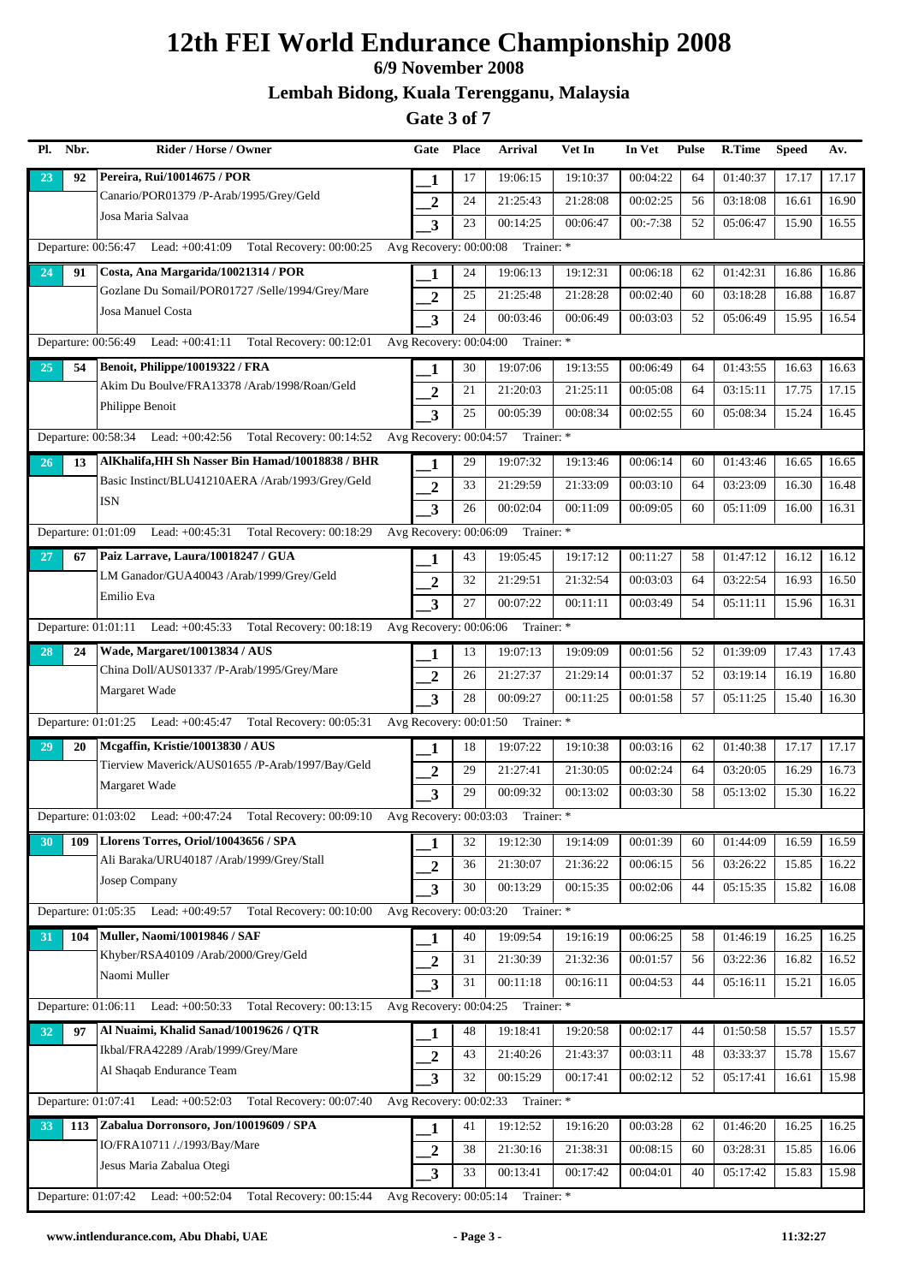## **6/9 November 2008**

### **Lembah Bidong, Kuala Terengganu, Malaysia**

| Pl. | Nbr. | Rider / Horse / Owner                                               | Gate                     | Place | Arrival    | Vet In   | In Vet     | <b>Pulse</b> | R.Time   | <b>Speed</b> | Av.   |
|-----|------|---------------------------------------------------------------------|--------------------------|-------|------------|----------|------------|--------------|----------|--------------|-------|
| 23  | 92   | Pereira, Rui/10014675 / POR                                         | 1                        | 17    | 19:06:15   | 19:10:37 | 00:04:22   | 64           | 01:40:37 | 17.17        | 17.17 |
|     |      | Canario/POR01379 /P-Arab/1995/Grey/Geld                             | $\overline{2}$           | 24    | 21:25:43   | 21:28:08 | 00:02:25   | 56           | 03:18:08 | 16.61        | 16.90 |
|     |      | Josa Maria Salvaa                                                   | $\overline{\mathbf{3}}$  | 23    | 00:14:25   | 00:06:47 | $00:-7:38$ | 52           | 05:06:47 | 15.90        | 16.55 |
|     |      | Departure: 00:56:47 Lead: +00:41:09 Total Recovery: 00:00:25        | Avg Recovery: 00:00:08   |       | Trainer: * |          |            |              |          |              |       |
| 24  | 91   | Costa, Ana Margarida/10021314 / POR                                 | -1                       | 24    | 19:06:13   | 19:12:31 | 00:06:18   | 62           | 01:42:31 | 16.86        | 16.86 |
|     |      | Gozlane Du Somail/POR01727 /Selle/1994/Grey/Mare                    | $\overline{2}$           | 25    | 21:25:48   | 21:28:28 | 00:02:40   | 60           | 03:18:28 | 16.88        | 16.87 |
|     |      | Josa Manuel Costa                                                   | 3                        | 24    | 00:03:46   | 00:06:49 | 00:03:03   | 52           | 05:06:49 | 15.95        | 16.54 |
|     |      | Departure: 00:56:49 Lead: +00:41:11 Total Recovery: 00:12:01        | Avg Recovery: 00:04:00   |       | Trainer: * |          |            |              |          |              |       |
| 25  | 54   | Benoit, Philippe/10019322 / FRA                                     | 1                        | 30    | 19:07:06   | 19:13:55 | 00:06:49   | 64           | 01:43:55 | 16.63        | 16.63 |
|     |      | Akim Du Boulve/FRA13378 /Arab/1998/Roan/Geld                        | $\overline{2}$           | 21    | 21:20:03   | 21:25:11 | 00:05:08   | 64           | 03:15:11 | 17.75        | 17.15 |
|     |      | Philippe Benoit                                                     | 3                        | 25    | 00:05:39   | 00:08:34 | 00:02:55   | 60           | 05:08:34 | 15.24        | 16.45 |
|     |      | Total Recovery: 00:14:52<br>Departure: $00:58:34$ Lead: $+00:42:56$ | Avg Recovery: 00:04:57   |       | Trainer: * |          |            |              |          |              |       |
| 26  | 13   | AlKhalifa, HH Sh Nasser Bin Hamad/10018838 / BHR                    | 1                        | 29    | 19:07:32   | 19:13:46 | 00:06:14   | 60           | 01:43:46 | 16.65        | 16.65 |
|     |      | Basic Instinct/BLU41210AERA /Arab/1993/Grey/Geld                    | $\overline{2}$           | 33    | 21:29:59   | 21:33:09 | 00:03:10   | 64           | 03:23:09 | 16.30        | 16.48 |
|     |      | <b>ISN</b>                                                          | $\overline{\mathbf{3}}$  | 26    | 00:02:04   | 00:11:09 | 00:09:05   | 60           | 05:11:09 | 16.00        | 16.31 |
|     |      | Departure: 01:01:09 Lead: +00:45:31 Total Recovery: 00:18:29        | Avg Recovery: 00:06:09   |       | Trainer: * |          |            |              |          |              |       |
| 27  | 67   | Paiz Larrave, Laura/10018247 / GUA                                  |                          | 43    | 19:05:45   | 19:17:12 | 00:11:27   | 58           | 01:47:12 | 16.12        | 16.12 |
|     |      | LM Ganador/GUA40043 /Arab/1999/Grey/Geld                            | $\overline{2}$           | 32    | 21:29:51   | 21:32:54 | 00:03:03   | 64           | 03:22:54 | 16.93        | 16.50 |
|     |      | Emilio Eva                                                          | 3                        | 27    | 00:07:22   | 00:11:11 | 00:03:49   | 54           | 05:11:11 | 15.96        | 16.31 |
|     |      | Departure: 01:01:11 Lead: +00:45:33 Total Recovery: 00:18:19        | Avg Recovery: 00:06:06   |       | Trainer: * |          |            |              |          |              |       |
| 28  | 24   | Wade, Margaret/10013834 / AUS                                       | 1                        | 13    | 19:07:13   | 19:09:09 | 00:01:56   | 52           | 01:39:09 | 17.43        | 17.43 |
|     |      | China Doll/AUS01337 /P-Arab/1995/Grey/Mare                          | $\overline{2}$           | 26    | 21:27:37   | 21:29:14 | 00:01:37   | 52           | 03:19:14 | 16.19        | 16.80 |
|     |      | Margaret Wade                                                       | 3                        | 28    | 00:09:27   | 00:11:25 | 00:01:58   | 57           | 05:11:25 | 15.40        | 16.30 |
|     |      | Departure: 01:01:25 Lead: +00:45:47 Total Recovery: 00:05:31        | Avg Recovery: 00:01:50   |       | Trainer: * |          |            |              |          |              |       |
| 29  | 20   | Mcgaffin, Kristie/10013830 / AUS                                    | 1                        | 18    | 19:07:22   | 19:10:38 | 00:03:16   | 62           | 01:40:38 | 17.17        | 17.17 |
|     |      | Tierview Maverick/AUS01655 /P-Arab/1997/Bay/Geld                    | $\boldsymbol{2}$         | 29    | 21:27:41   | 21:30:05 | 00:02:24   | 64           | 03:20:05 | 16.29        | 16.73 |
|     |      | Margaret Wade                                                       | 3                        | 29    | 00:09:32   | 00:13:02 | 00:03:30   | 58           | 05:13:02 | 15.30        | 16.22 |
|     |      | Departure: 01:03:02 Lead: +00:47:24 Total Recovery: 00:09:10        | Avg Recovery: 00:03:03   |       | Trainer: * |          |            |              |          |              |       |
| 30  | 109  | Llorens Torres, Oriol/10043656 / SPA                                | 1                        | 32    | 19:12:30   | 19:14:09 | 00:01:39   | 60           | 01:44:09 | 16.59        | 16.59 |
|     |      | Ali Baraka/URU40187 /Arab/1999/Grey/Stall                           | $\overline{2}$           | 36    | 21:30:07   | 21:36:22 | 00:06:15   | 56           | 03:26:22 | 15.85        | 16.22 |
|     |      | Josep Company                                                       | 3                        | 30    | 00:13:29   | 00:15:35 | 00:02:06   | 44           | 05:15:35 | 15.82        | 16.08 |
|     |      | Departure: 01:05:35 Lead: +00:49:57<br>Total Recovery: 00:10:00     | Avg Recovery: 00:03:20   |       | Trainer: * |          |            |              |          |              |       |
| 31  | 104  | <b>Muller, Naomi/10019846 / SAF</b>                                 | 1                        | 40    | 19:09:54   | 19:16:19 | 00:06:25   | 58           | 01:46:19 | 16.25        | 16.25 |
|     |      | Khyber/RSA40109 /Arab/2000/Grey/Geld                                | $\boldsymbol{2}$         | 31    | 21:30:39   | 21:32:36 | 00:01:57   | 56           | 03:22:36 | 16.82        | 16.52 |
|     |      | Naomi Muller                                                        | $\overline{\mathbf{3}}$  | 31    | 00:11:18   | 00:16:11 | 00:04:53   | 44           | 05:16:11 | 15.21        | 16.05 |
|     |      | Departure: 01:06:11 Lead: +00:50:33 Total Recovery: 00:13:15        | Avg Recovery: 00:04:25   |       | Trainer: * |          |            |              |          |              |       |
| 32  | 97   | Al Nuaimi, Khalid Sanad/10019626 / QTR                              | 1                        | 48    | 19:18:41   | 19:20:58 | 00:02:17   | 44           | 01:50:58 | 15.57        | 15.57 |
|     |      | Ikbal/FRA42289 /Arab/1999/Grey/Mare                                 | $\boldsymbol{2}$         | 43    | 21:40:26   | 21:43:37 | 00:03:11   | 48           | 03:33:37 | 15.78        | 15.67 |
|     |      | Al Shaqab Endurance Team                                            | 3                        | 32    | 00:15:29   | 00:17:41 | 00:02:12   | 52           | 05:17:41 | 16.61        | 15.98 |
|     |      | Departure: $01:07:41$ Lead: $+00:52:03$<br>Total Recovery: 00:07:40 | Avg Recovery: $00:02:33$ |       | Trainer: * |          |            |              |          |              |       |
| 33  | 113  | Zabalua Dorronsoro, Jon/10019609 / SPA                              | 1                        | 41    | 19:12:52   | 19:16:20 | 00:03:28   | 62           | 01:46:20 | 16.25        | 16.25 |
|     |      | IO/FRA10711 /./1993/Bay/Mare                                        | $\overline{2}$           | 38    | 21:30:16   | 21:38:31 | 00:08:15   | 60           | 03:28:31 | 15.85        | 16.06 |
|     |      | Jesus Maria Zabalua Otegi                                           | 3                        | 33    | 00:13:41   | 00:17:42 | 00:04:01   | 40           | 05:17:42 | 15.83        | 15.98 |
|     |      | Departure: 01:07:42 Lead: +00:52:04<br>Total Recovery: 00:15:44     | Avg Recovery: $00:05:14$ |       | Trainer: * |          |            |              |          |              |       |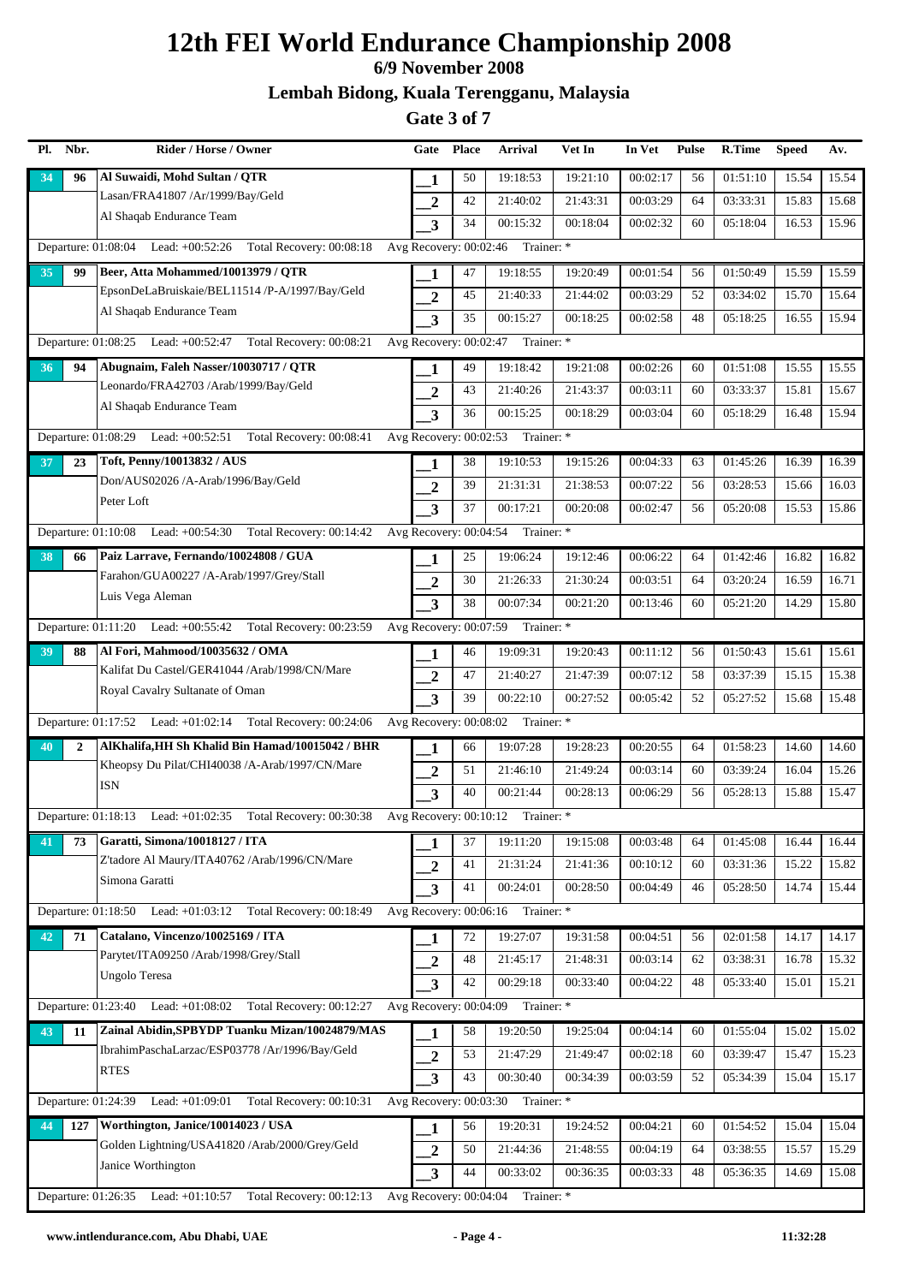## **6/9 November 2008**

**Lembah Bidong, Kuala Terengganu, Malaysia**

| Pl. | Nbr.         | Rider / Horse / Owner                                               | Gate                     | <b>Place</b> | <b>Arrival</b>                    | Vet In   | In Vet   | <b>Pulse</b> | R.Time   | <b>Speed</b> | Av.   |
|-----|--------------|---------------------------------------------------------------------|--------------------------|--------------|-----------------------------------|----------|----------|--------------|----------|--------------|-------|
| 34  | 96           | Al Suwaidi, Mohd Sultan / QTR                                       | 1                        | 50           | 19:18:53                          | 19:21:10 | 00:02:17 | 56           | 01:51:10 | 15.54        | 15.54 |
|     |              | Lasan/FRA41807 /Ar/1999/Bay/Geld                                    | $\overline{2}$           | 42           | 21:40:02                          | 21:43:31 | 00:03:29 | 64           | 03:33:31 | 15.83        | 15.68 |
|     |              | Al Shaqab Endurance Team                                            | 3                        | 34           | 00:15:32                          | 00:18:04 | 00:02:32 | 60           | 05:18:04 | 16.53        | 15.96 |
|     |              | Departure: 01:08:04 Lead: +00:52:26 Total Recovery: 00:08:18        | Avg Recovery: 00:02:46   |              | Trainer: *                        |          |          |              |          |              |       |
| 35  | 99           | Beer, Atta Mohammed/10013979 / QTR                                  | 1                        | 47           | 19:18:55                          | 19:20:49 | 00:01:54 | 56           | 01:50:49 | 15.59        | 15.59 |
|     |              | EpsonDeLaBruiskaie/BEL11514 /P-A/1997/Bay/Geld                      | $\overline{2}$           | 45           | 21:40:33                          | 21:44:02 | 00:03:29 | 52           | 03:34:02 | 15.70        | 15.64 |
|     |              | Al Shaqab Endurance Team                                            | 3                        | 35           | 00:15:27                          | 00:18:25 | 00:02:58 | 48           | 05:18:25 | 16.55        | 15.94 |
|     |              | Departure: 01:08:25 Lead: +00:52:47<br>Total Recovery: 00:08:21     | Avg Recovery: 00:02:47   |              | Trainer: *                        |          |          |              |          |              |       |
| 36  | 94           | Abugnaim, Faleh Nasser/10030717 / QTR                               | 1                        | 49           | 19:18:42                          | 19:21:08 | 00:02:26 | 60           | 01:51:08 | 15.55        | 15.55 |
|     |              | Leonardo/FRA42703 /Arab/1999/Bay/Geld                               | $\overline{2}$           | 43           | 21:40:26                          | 21:43:37 | 00:03:11 | 60           | 03:33:37 | 15.81        | 15.67 |
|     |              | Al Shaqab Endurance Team                                            | 3                        | 36           | 00:15:25                          | 00:18:29 | 00:03:04 | 60           | 05:18:29 | 16.48        | 15.94 |
|     |              | Total Recovery: 00:08:41<br>Departure: $01:08:29$ Lead: $+00:52:51$ | Avg Recovery: 00:02:53   |              | Trainer: *                        |          |          |              |          |              |       |
| 37  | 23           | Toft, Penny/10013832 / AUS                                          | 1                        | 38           | 19:10:53                          | 19:15:26 | 00:04:33 | 63           | 01:45:26 | 16.39        | 16.39 |
|     |              | Don/AUS02026 /A-Arab/1996/Bay/Geld                                  | $\mathbf{2}$             | 39           | 21:31:31                          | 21:38:53 | 00:07:22 | 56           | 03:28:53 | 15.66        | 16.03 |
|     |              | Peter Loft                                                          | 3                        | 37           | 00:17:21                          | 00:20:08 | 00:02:47 | 56           | 05:20:08 | 15.53        | 15.86 |
|     |              | Departure: 01:10:08 Lead: +00:54:30 Total Recovery: 00:14:42        | Avg Recovery: 00:04:54   |              | Trainer: *                        |          |          |              |          |              |       |
| 38  | 66           | Paiz Larrave, Fernando/10024808 / GUA                               | 1                        | 25           | 19:06:24                          | 19:12:46 | 00:06:22 | 64           | 01:42:46 | 16.82        | 16.82 |
|     |              | Farahon/GUA00227 /A-Arab/1997/Grey/Stall                            | $\overline{2}$           | 30           | 21:26:33                          | 21:30:24 | 00:03:51 | 64           | 03:20:24 | 16.59        | 16.71 |
|     |              | Luis Vega Aleman                                                    | 3                        | 38           | 00:07:34                          | 00:21:20 | 00:13:46 | 60           | 05:21:20 | 14.29        | 15.80 |
|     |              | Departure: 01:11:20 Lead: +00:55:42 Total Recovery: 00:23:59        | Avg Recovery: 00:07:59   |              | Trainer: *                        |          |          |              |          |              |       |
| 39  | 88           | Al Fori, Mahmood/10035632 / OMA                                     | 1                        | 46           | 19:09:31                          | 19:20:43 | 00:11:12 | 56           | 01:50:43 | 15.61        | 15.61 |
|     |              | Kalifat Du Castel/GER41044 /Arab/1998/CN/Mare                       | $\overline{2}$           | 47           | 21:40:27                          | 21:47:39 | 00:07:12 | 58           | 03:37:39 | 15.15        | 15.38 |
|     |              | Royal Cavalry Sultanate of Oman                                     | 3                        | 39           | 00:22:10                          | 00:27:52 | 00:05:42 | 52           | 05:27:52 | 15.68        | 15.48 |
|     |              | Departure: 01:17:52 Lead: +01:02:14 Total Recovery: 00:24:06        | Avg Recovery: 00:08:02   |              | Trainer: *                        |          |          |              |          |              |       |
| 40  | $\mathbf{2}$ | AlKhalifa, HH Sh Khalid Bin Hamad/10015042 / BHR                    | 1                        | 66           | 19:07:28                          | 19:28:23 | 00:20:55 | 64           | 01:58:23 | 14.60        | 14.60 |
|     |              | Kheopsy Du Pilat/CHI40038 /A-Arab/1997/CN/Mare                      | $\overline{2}$           | 51           | 21:46:10                          | 21:49:24 | 00:03:14 | 60           | 03:39:24 | 16.04        | 15.26 |
|     |              | <b>ISN</b>                                                          | 3                        | 40           | 00:21:44                          | 00:28:13 | 00:06:29 | 56           | 05:28:13 | 15.88        | 15.47 |
|     |              | Departure: 01:18:13 Lead: +01:02:35 Total Recovery: 00:30:38        | Avg Recovery: 00:10:12   |              | Trainer: *                        |          |          |              |          |              |       |
| 41  | 73           | Garatti, Simona/10018127 / ITA                                      | 1                        | 37           | 19:11:20                          | 19:15:08 | 00:03:48 | 64           | 01:45:08 | 16.44        | 16.44 |
|     |              | Z'tadore Al Maury/ITA40762 /Arab/1996/CN/Mare                       | $\overline{2}$           | 41           | 21:31:24                          | 21:41:36 | 00:10:12 | 60           | 03:31:36 | 15.22        | 15.82 |
|     |              | Simona Garatti                                                      | 3                        | 41           | 00:24:01                          | 00:28:50 | 00:04:49 | 46           | 05:28:50 | 14.74        | 15.44 |
|     |              | Departure: $01:18:50$<br>Lead: $+01:03:12$ Total Recovery: 00:18:49 |                          |              | Avg Recovery: 00:06:16 Trainer: * |          |          |              |          |              |       |
| 42  | 71           | Catalano, Vincenzo/10025169 / ITA                                   | 1                        | 72           | 19:27:07                          | 19:31:58 | 00:04:51 | 56           | 02:01:58 | 14.17        | 14.17 |
|     |              | Parytet/ITA09250 /Arab/1998/Grey/Stall                              | $\boldsymbol{2}$         | 48           | 21:45:17                          | 21:48:31 | 00:03:14 | 62           | 03:38:31 | 16.78        | 15.32 |
|     |              | <b>Ungolo Teresa</b>                                                | $\overline{\mathbf{3}}$  | 42           | 00:29:18                          | 00:33:40 | 00:04:22 | 48           | 05:33:40 | 15.01        | 15.21 |
|     |              | Departure: 01:23:40 Lead: +01:08:02<br>Total Recovery: 00:12:27     | Avg Recovery: 00:04:09   |              | Trainer: *                        |          |          |              |          |              |       |
| 43  | 11           | Zainal Abidin, SPBYDP Tuanku Mizan/10024879/MAS                     | 1                        | 58           | 19:20:50                          | 19:25:04 | 00:04:14 | 60           | 01:55:04 | 15.02        | 15.02 |
|     |              | IbrahimPaschaLarzac/ESP03778 /Ar/1996/Bay/Geld                      | $\boldsymbol{2}$         | 53           | 21:47:29                          | 21:49:47 | 00:02:18 | 60           | 03:39:47 | 15.47        | 15.23 |
|     |              | <b>RTES</b>                                                         | 3                        | 43           | 00:30:40                          | 00:34:39 | 00:03:59 | 52           | 05:34:39 | 15.04        | 15.17 |
|     |              | Departure: 01:24:39<br>Lead: +01:09:01<br>Total Recovery: 00:10:31  | Avg Recovery: $00:03:30$ |              | Trainer: *                        |          |          |              |          |              |       |
| 44  | 127          | Worthington, Janice/10014023 / USA                                  | 1                        | 56           | 19:20:31                          | 19:24:52 | 00:04:21 | 60           | 01:54:52 | 15.04        | 15.04 |
|     |              | Golden Lightning/USA41820 /Arab/2000/Grey/Geld                      | $\overline{2}$           | 50           | 21:44:36                          | 21:48:55 | 00:04:19 | 64           | 03:38:55 | 15.57        | 15.29 |
|     |              | Janice Worthington                                                  | 3                        | 44           | 00:33:02                          | 00:36:35 | 00:03:33 | 48           | 05:36:35 | 14.69        | 15.08 |
|     |              | Departure: 01:26:35 Lead: +01:10:57<br>Total Recovery: 00:12:13     | Avg Recovery: 00:04:04   |              | Trainer: *                        |          |          |              |          |              |       |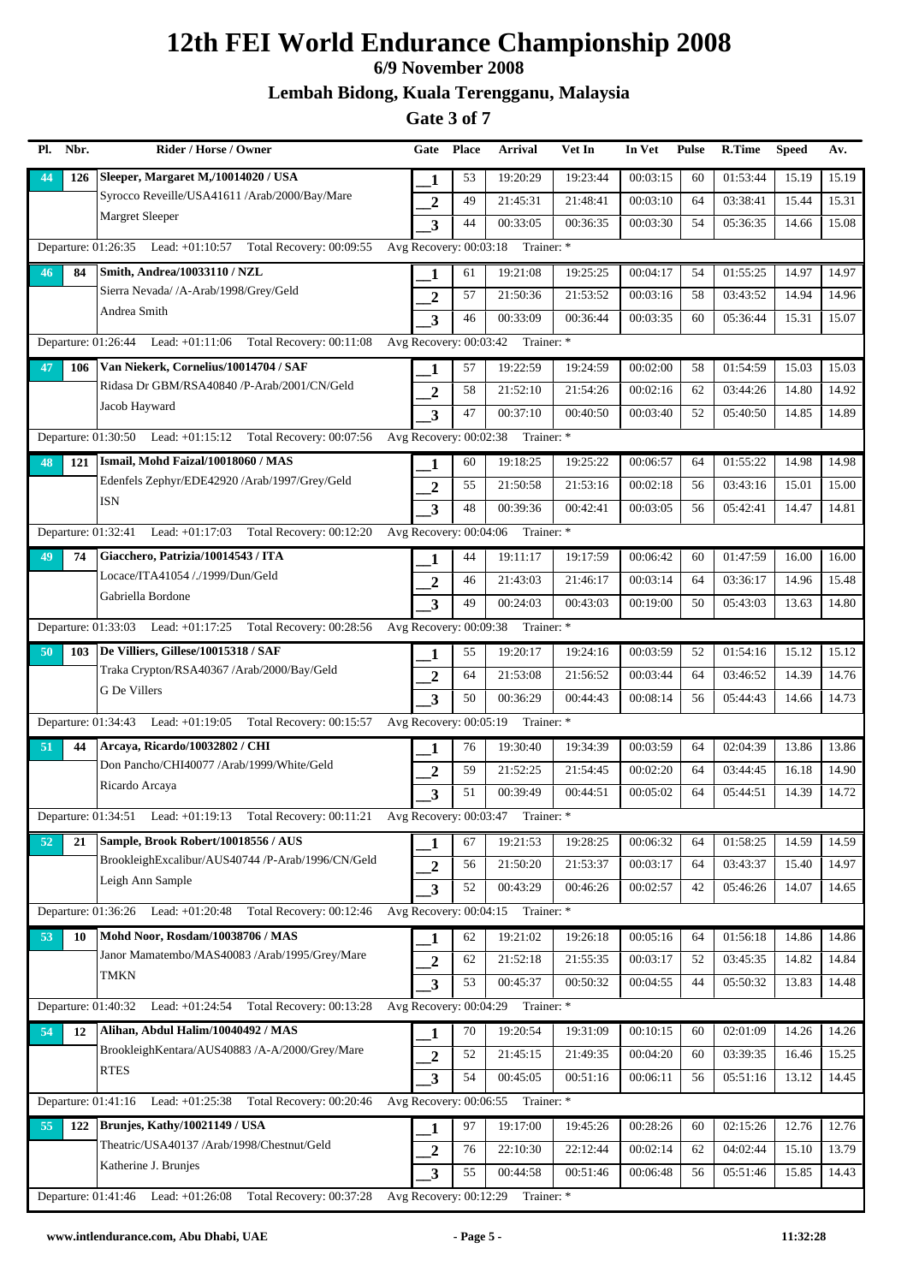### **6/9 November 2008**

### **Lembah Bidong, Kuala Terengganu, Malaysia**

| Pl. | Nbr. | Rider / Horse / Owner                                               | Gate                     | <b>Place</b> | Arrival                           | Vet In   | In Vet   | <b>Pulse</b> | R.Time   | <b>Speed</b> | Av.   |
|-----|------|---------------------------------------------------------------------|--------------------------|--------------|-----------------------------------|----------|----------|--------------|----------|--------------|-------|
| 44  | 126  | Sleeper, Margaret M,/10014020 / USA                                 | 1                        | 53           | 19:20:29                          | 19:23:44 | 00:03:15 | 60           | 01:53:44 | 15.19        | 15.19 |
|     |      | Syrocco Reveille/USA41611 /Arab/2000/Bay/Mare                       | $\overline{2}$           | 49           | 21:45:31                          | 21:48:41 | 00:03:10 | 64           | 03:38:41 | 15.44        | 15.31 |
|     |      | Margret Sleeper                                                     | $\overline{\mathbf{3}}$  | 44           | 00:33:05                          | 00:36:35 | 00:03:30 | 54           | 05:36:35 | 14.66        | 15.08 |
|     |      | Departure: 01:26:35 Lead: +01:10:57 Total Recovery: 00:09:55        | Avg Recovery: 00:03:18   |              | Trainer: *                        |          |          |              |          |              |       |
| 46  | 84   | Smith, Andrea/10033110 / NZL                                        | -1                       | 61           | 19:21:08                          | 19:25:25 | 00:04:17 | 54           | 01:55:25 | 14.97        | 14.97 |
|     |      | Sierra Nevada/ /A-Arab/1998/Grey/Geld                               | $\overline{2}$           | 57           | 21:50:36                          | 21:53:52 | 00:03:16 | 58           | 03:43:52 | 14.94        | 14.96 |
|     |      | Andrea Smith                                                        | 3                        | 46           | 00:33:09                          | 00:36:44 | 00:03:35 | 60           | 05:36:44 | 15.31        | 15.07 |
|     |      | Departure: 01:26:44 Lead: +01:11:06 Total Recovery: 00:11:08        |                          |              | Avg Recovery: 00:03:42 Trainer: * |          |          |              |          |              |       |
| 47  | 106  | Van Niekerk, Cornelius/10014704 / SAF                               | 1                        | 57           | 19:22:59                          | 19:24:59 | 00:02:00 | 58           | 01:54:59 | 15.03        | 15.03 |
|     |      | Ridasa Dr GBM/RSA40840 /P-Arab/2001/CN/Geld                         | $\overline{2}$           | 58           | 21:52:10                          | 21:54:26 | 00:02:16 | 62           | 03:44:26 | 14.80        | 14.92 |
|     |      | Jacob Hayward                                                       | 3                        | 47           | 00:37:10                          | 00:40:50 | 00:03:40 | 52           | 05:40:50 | 14.85        | 14.89 |
|     |      | Departure: 01:30:50 Lead: +01:15:12 Total Recovery: 00:07:56        | Avg Recovery: 00:02:38   |              | Trainer: *                        |          |          |              |          |              |       |
| 48  | 121  | Ismail, Mohd Faizal/10018060 / MAS                                  | 1                        | 60           | 19:18:25                          | 19:25:22 | 00:06:57 | 64           | 01:55:22 | 14.98        | 14.98 |
|     |      | Edenfels Zephyr/EDE42920 /Arab/1997/Grey/Geld                       | $\overline{2}$           | 55           | 21:50:58                          | 21:53:16 | 00:02:18 | 56           | 03:43:16 | 15.01        | 15.00 |
|     |      | <b>ISN</b>                                                          | $\overline{\mathbf{3}}$  | 48           | 00:39:36                          | 00:42:41 | 00:03:05 | 56           | 05:42:41 | 14.47        | 14.81 |
|     |      | Departure: 01:32:41 Lead: +01:17:03 Total Recovery: 00:12:20        | Avg Recovery: 00:04:06   |              | Trainer: *                        |          |          |              |          |              |       |
| 49  | 74   | Giacchero, Patrizia/10014543 / ITA                                  |                          | 44           | 19:11:17                          | 19:17:59 | 00:06:42 | 60           | 01:47:59 | 16.00        | 16.00 |
|     |      | Locace/ITA41054 /./1999/Dun/Geld                                    | $\overline{2}$           | 46           | 21:43:03                          | 21:46:17 | 00:03:14 | 64           | 03:36:17 | 14.96        | 15.48 |
|     |      | Gabriella Bordone                                                   | 3                        | 49           | 00:24:03                          | 00:43:03 | 00:19:00 | 50           | 05:43:03 | 13.63        | 14.80 |
|     |      | Departure: 01:33:03 Lead: +01:17:25 Total Recovery: 00:28:56        |                          |              | Avg Recovery: 00:09:38 Trainer: * |          |          |              |          |              |       |
| 50  | 103  | De Villiers, Gillese/10015318 / SAF                                 | 1                        | 55           | 19:20:17                          | 19:24:16 | 00:03:59 | 52           | 01:54:16 | 15.12        | 15.12 |
|     |      | Traka Crypton/RSA40367 /Arab/2000/Bay/Geld                          | $\overline{2}$           | 64           | 21:53:08                          | 21:56:52 | 00:03:44 | 64           | 03:46:52 | 14.39        | 14.76 |
|     |      | G De Villers                                                        | 3                        | 50           | 00:36:29                          | 00:44:43 | 00:08:14 | 56           | 05:44:43 | 14.66        | 14.73 |
|     |      | Departure: 01:34:43 Lead: +01:19:05 Total Recovery: 00:15:57        | Avg Recovery: 00:05:19   |              | Trainer: *                        |          |          |              |          |              |       |
| 51  | 44   | Arcaya, Ricardo/10032802 / CHI                                      | 1                        | 76           | 19:30:40                          | 19:34:39 | 00:03:59 | 64           | 02:04:39 | 13.86        | 13.86 |
|     |      | Don Pancho/CHI40077 /Arab/1999/White/Geld                           | $\boldsymbol{2}$         | 59           | 21:52:25                          | 21:54:45 | 00:02:20 | 64           | 03:44:45 | 16.18        | 14.90 |
|     |      | Ricardo Arcaya                                                      | 3                        | 51           | 00:39:49                          | 00:44:51 | 00:05:02 | 64           | 05:44:51 | 14.39        | 14.72 |
|     |      | Departure: 01:34:51 Lead: +01:19:13 Total Recovery: 00:11:21        |                          |              | Avg Recovery: 00:03:47 Trainer: * |          |          |              |          |              |       |
| 52  | 21   | Sample, Brook Robert/10018556 / AUS                                 | 1                        | 67           | 19:21:53                          | 19:28:25 | 00:06:32 | 64           | 01:58:25 | 14.59        | 14.59 |
|     |      | BrookleighExcalibur/AUS40744 /P-Arab/1996/CN/Geld                   | $\overline{2}$           | 56           | 21:50:20                          | 21:53:37 | 00:03:17 | 64           | 03:43:37 | 15.40        | 14.97 |
|     |      | Leigh Ann Sample                                                    | 3                        | 52           | 00:43:29                          | 00:46:26 | 00:02:57 | 42           | 05:46:26 | 14.07        | 14.65 |
|     |      | Departure: 01:36:26 Lead: +01:20:48<br>Total Recovery: 00:12:46     |                          |              | Avg Recovery: 00:04:15 Trainer: * |          |          |              |          |              |       |
| 53  | 10   | Mohd Noor, Rosdam/10038706 / MAS                                    | 1                        | 62           | 19:21:02                          | 19:26:18 | 00:05:16 | 64           | 01:56:18 | 14.86        | 14.86 |
|     |      | Janor Mamatembo/MAS40083 /Arab/1995/Grey/Mare                       | $\boldsymbol{2}$         | 62           | 21:52:18                          | 21:55:35 | 00:03:17 | 52           | 03:45:35 | 14.82        | 14.84 |
|     |      | <b>TMKN</b>                                                         | $\overline{\mathbf{3}}$  | 53           | 00:45:37                          | 00:50:32 | 00:04:55 | 44           | 05:50:32 | 13.83        | 14.48 |
|     |      | Departure: 01:40:32 Lead: +01:24:54 Total Recovery: 00:13:28        | Avg Recovery: 00:04:29   |              | Trainer: *                        |          |          |              |          |              |       |
| 54  | 12   | Alihan, Abdul Halim/10040492 / MAS                                  | 1                        | 70           | 19:20:54                          | 19:31:09 | 00:10:15 | 60           | 02:01:09 | 14.26        | 14.26 |
|     |      | BrookleighKentara/AUS40883 /A-A/2000/Grey/Mare                      | $\overline{2}$           | 52           | 21:45:15                          | 21:49:35 | 00:04:20 | 60           | 03:39:35 | 16.46        | 15.25 |
|     |      | <b>RTES</b>                                                         | 3                        | 54           | 00:45:05                          | 00:51:16 | 00:06:11 | 56           | 05:51:16 | 13.12        | 14.45 |
|     |      | Departure: 01:41:16 Lead: +01:25:38 Total Recovery: 00:20:46        | Avg Recovery: 00:06:55   |              | Trainer: *                        |          |          |              |          |              |       |
| 55  | 122  | Brunjes, Kathy/10021149 / USA                                       | 1                        | 97           | 19:17:00                          | 19:45:26 | 00:28:26 | 60           | 02:15:26 | 12.76        | 12.76 |
|     |      | Theatric/USA40137 /Arab/1998/Chestnut/Geld                          | $\overline{2}$           | 76           | 22:10:30                          | 22:12:44 | 00:02:14 | 62           | 04:02:44 | 15.10        | 13.79 |
|     |      | Katherine J. Brunjes                                                | 3                        | 55           | 00:44:58                          | 00:51:46 | 00:06:48 | 56           | 05:51:46 | 15.85        | 14.43 |
|     |      | Departure: $01:41:46$ Lead: $+01:26:08$<br>Total Recovery: 00:37:28 | Avg Recovery: $00:12:29$ |              | Trainer: *                        |          |          |              |          |              |       |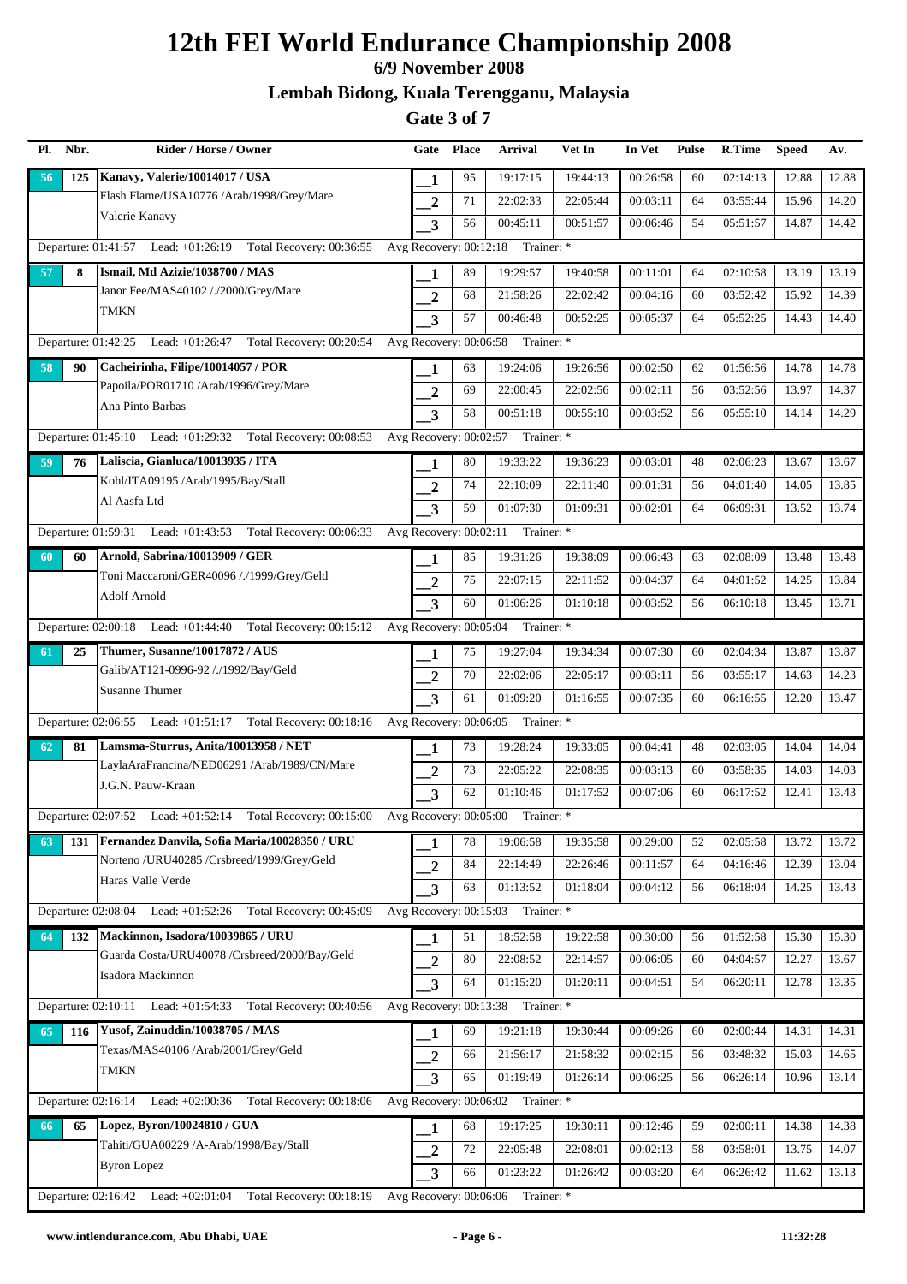## **6/9 November 2008**

**Lembah Bidong, Kuala Terengganu, Malaysia**

| Pl. | Nbr. | Rider / Horse / Owner                                                                          | Gate                    | <b>Place</b> | <b>Arrival</b>                    | Vet In   | In Vet   | <b>Pulse</b> | R.Time   | <b>Speed</b> | Av.   |
|-----|------|------------------------------------------------------------------------------------------------|-------------------------|--------------|-----------------------------------|----------|----------|--------------|----------|--------------|-------|
| 56  | 125  | Kanavy, Valerie/10014017 / USA                                                                 | 1                       | 95           | 19:17:15                          | 19:44:13 | 00:26:58 | 60           | 02:14:13 | 12.88        | 12.88 |
|     |      | Flash Flame/USA10776 /Arab/1998/Grey/Mare                                                      | $\overline{2}$          | 71           | 22:02:33                          | 22:05:44 | 00:03:11 | 64           | 03:55:44 | 15.96        | 14.20 |
|     |      | Valerie Kanavy                                                                                 | 3                       | 56           | 00:45:11                          | 00:51:57 | 00:06:46 | 54           | 05:51:57 | 14.87        | 14.42 |
|     |      | Departure: 01:41:57 Lead: +01:26:19 Total Recovery: 00:36:55                                   | Avg Recovery: 00:12:18  |              | Trainer: *                        |          |          |              |          |              |       |
| 57  | 8    | Ismail, Md Azizie/1038700 / MAS                                                                | 1                       | 89           | 19:29:57                          | 19:40:58 | 00:11:01 | 64           | 02:10:58 | 13.19        | 13.19 |
|     |      | Janor Fee/MAS40102 /./2000/Grey/Mare                                                           | $\overline{2}$          | 68           | 21:58:26                          | 22:02:42 | 00:04:16 | 60           | 03:52:42 | 15.92        | 14.39 |
|     |      | TMKN                                                                                           | 3                       | 57           | 00:46:48                          | 00:52:25 | 00:05:37 | 64           | 05:52:25 | 14.43        | 14.40 |
|     |      | Departure: 01:42:25 Lead: +01:26:47 Total Recovery: 00:20:54                                   |                         |              | Avg Recovery: 00:06:58 Trainer: * |          |          |              |          |              |       |
| 58  | 90   | Cacheirinha, Filipe/10014057 / POR                                                             | 1                       | 63           | 19:24:06                          | 19:26:56 | 00:02:50 | 62           | 01:56:56 | 14.78        | 14.78 |
|     |      | Papoila/POR01710 /Arab/1996/Grey/Mare                                                          | $\overline{2}$          | 69           | 22:00:45                          | 22:02:56 | 00:02:11 | 56           | 03:52:56 | 13.97        | 14.37 |
|     |      | Ana Pinto Barbas                                                                               | 3                       | 58           | 00:51:18                          | 00:55:10 | 00:03:52 | 56           | 05:55:10 | 14.14        | 14.29 |
|     |      | Departure: 01:45:10 Lead: +01:29:32 Total Recovery: 00:08:53                                   | Avg Recovery: 00:02:57  |              | Trainer: *                        |          |          |              |          |              |       |
| 59  | 76   | Laliscia, Gianluca/10013935 / ITA                                                              | 1                       | 80           | 19:33:22                          | 19:36:23 | 00:03:01 | 48           | 02:06:23 | 13.67        | 13.67 |
|     |      | Kohl/ITA09195 /Arab/1995/Bay/Stall                                                             | $\overline{2}$          | 74           | 22:10:09                          | 22:11:40 | 00:01:31 | 56           | 04:01:40 | 14.05        | 13.85 |
|     |      | Al Aasfa Ltd                                                                                   | 3                       | 59           | 01:07:30                          | 01:09:31 | 00:02:01 | 64           | 06:09:31 | 13.52        | 13.74 |
|     |      | Departure: 01:59:31 Lead: +01:43:53 Total Recovery: 00:06:33                                   | Avg Recovery: 00:02:11  |              | Trainer: *                        |          |          |              |          |              |       |
| 60  | 60   | Arnold, Sabrina/10013909 / GER                                                                 |                         | 85           | 19:31:26                          | 19:38:09 | 00:06:43 | 63           | 02:08:09 | 13.48        | 13.48 |
|     |      | Toni Maccaroni/GER40096 /./1999/Grey/Geld                                                      | $\overline{2}$          | 75           | 22:07:15                          | 22:11:52 | 00:04:37 | 64           | 04:01:52 | 14.25        | 13.84 |
|     |      | Adolf Arnold                                                                                   | 3                       | 60           | 01:06:26                          | 01:10:18 | 00:03:52 | 56           | 06:10:18 | 13.45        | 13.71 |
|     |      | Departure: 02:00:18 Lead: +01:44:40 Total Recovery: 00:15:12 Avg Recovery: 00:05:04 Trainer: * |                         |              |                                   |          |          |              |          |              |       |
| 61  | 25   | Thumer, Susanne/10017872 / AUS                                                                 | 1                       | 75           | 19:27:04                          | 19:34:34 | 00:07:30 | 60           | 02:04:34 | 13.87        | 13.87 |
|     |      | Galib/AT121-0996-92 /./1992/Bay/Geld                                                           | $\overline{2}$          | 70           | 22:02:06                          | 22:05:17 | 00:03:11 | 56           | 03:55:17 | 14.63        | 14.23 |
|     |      | <b>Susanne Thumer</b>                                                                          | 3                       | 61           | 01:09:20                          | 01:16:55 | 00:07:35 | 60           | 06:16:55 | 12.20        | 13.47 |
|     |      | Departure: 02:06:55 Lead: +01:51:17 Total Recovery: 00:18:16                                   | Avg Recovery: 00:06:05  |              | Trainer: *                        |          |          |              |          |              |       |
| 62  | 81   | Lamsma-Sturrus, Anita/10013958 / NET                                                           | 1                       | 73           | 19:28:24                          | 19:33:05 | 00:04:41 | 48           | 02:03:05 | 14.04        | 14.04 |
|     |      | LaylaAraFrancina/NED06291 /Arab/1989/CN/Mare                                                   | $\overline{2}$          | 73           | 22:05:22                          | 22:08:35 | 00:03:13 | 60           | 03:58:35 | 14.03        | 14.03 |
|     |      | J.G.N. Pauw-Kraan                                                                              | 3                       | 62           | 01:10:46                          | 01:17:52 | 00:07:06 | 60           | 06:17:52 | 12.41        | 13.43 |
|     |      | Departure: 02:07:52 Lead: +01:52:14 Total Recovery: 00:15:00                                   |                         |              | Avg Recovery: 00:05:00 Trainer: * |          |          |              |          |              |       |
| 63  |      | 131   Fernandez Danvila, Sofia Maria/10028350 / URU                                            | 1                       | 78           | 19:06:58                          | 19:35:58 | 00:29:00 | 52           | 02:05:58 | 13.72        | 13.72 |
|     |      | Norteno /URU40285 /Crsbreed/1999/Grey/Geld                                                     | $\overline{2}$          | 84           | 22:14:49                          | 22:26:46 | 00:11:57 | 64           | 04:16:46 | 12.39        | 13.04 |
|     |      | Haras Valle Verde                                                                              | 3                       | 63           | 01:13:52                          | 01:18:04 | 00:04:12 | 56           | 06:18:04 | 14.25        | 13.43 |
|     |      | Departure: 02:08:04 Lead: +01:52:26 Total Recovery: 00:45:09                                   |                         |              | Avg Recovery: 00:15:03 Trainer: * |          |          |              |          |              |       |
| 64  | 132  | Mackinnon, Isadora/10039865 / URU                                                              | 1                       | 51           | 18:52:58                          | 19:22:58 | 00:30:00 | 56           | 01:52:58 | 15.30        | 15.30 |
|     |      | Guarda Costa/URU40078 /Crsbreed/2000/Bay/Geld                                                  | $\overline{2}$          | 80           | 22:08:52                          | 22:14:57 | 00:06:05 | 60           | 04:04:57 | 12.27        | 13.67 |
|     |      | Isadora Mackinnon                                                                              | $\overline{\mathbf{3}}$ | 64           | 01:15:20                          | 01:20:11 | 00:04:51 | 54           | 06:20:11 | 12.78        | 13.35 |
|     |      | Departure: 02:10:11 Lead: +01:54:33 Total Recovery: 00:40:56                                   |                         |              | Avg Recovery: 00:13:38 Trainer: * |          |          |              |          |              |       |
| 65  | 116  | Yusof, Zainuddin/10038705 / MAS                                                                | 1                       | 69           | 19:21:18                          | 19:30:44 | 00:09:26 | 60           | 02:00:44 | 14.31        | 14.31 |
|     |      | Texas/MAS40106 /Arab/2001/Grey/Geld                                                            | $\overline{2}$          | 66           | 21:56:17                          | 21:58:32 | 00:02:15 | 56           | 03:48:32 | 15.03        | 14.65 |
|     |      | <b>TMKN</b>                                                                                    | 3                       | 65           | 01:19:49                          | 01:26:14 | 00:06:25 | 56           | 06:26:14 | 10.96        | 13.14 |
|     |      | Departure: 02:16:14 Lead: +02:00:36 Total Recovery: 00:18:06 Avg Recovery: 00:06:02 Trainer: * |                         |              |                                   |          |          |              |          |              |       |
| 66  | 65   | Lopez, Byron/10024810 / GUA                                                                    | 1                       | 68           | 19:17:25                          | 19:30:11 | 00:12:46 | 59           | 02:00:11 | 14.38        | 14.38 |
|     |      | Tahiti/GUA00229 /A-Arab/1998/Bay/Stall                                                         | $\mathbf{2}$            | 72           | 22:05:48                          | 22:08:01 | 00:02:13 | 58           | 03:58:01 | 13.75        | 14.07 |
|     |      | <b>Byron Lopez</b>                                                                             | 3                       | 66           | 01:23:22                          | 01:26:42 | 00:03:20 | 64           | 06:26:42 | 11.62        | 13.13 |
|     |      | Departure: 02:16:42 Lead: +02:01:04 Total Recovery: 00:18:19 Avg Recovery: 00:06:06            |                         |              | Trainer: *                        |          |          |              |          |              |       |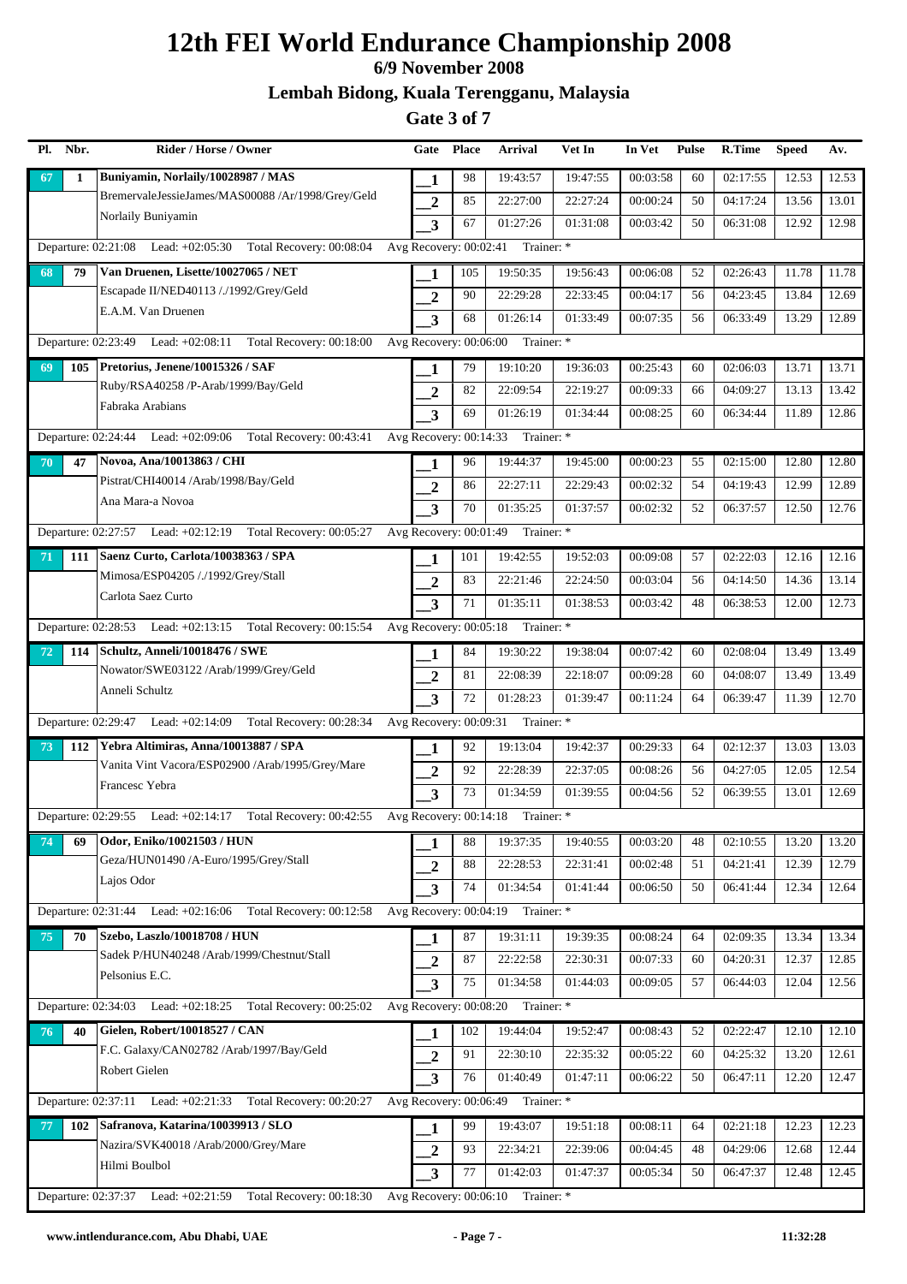### **6/9 November 2008**

### **Lembah Bidong, Kuala Terengganu, Malaysia**

| Pl. | Nbr. | Rider / Horse / Owner                                        | Gate                    | <b>Place</b> | <b>Arrival</b>                    | Vet In   | In Vet   | <b>Pulse</b> | R.Time   | <b>Speed</b> | Av.   |
|-----|------|--------------------------------------------------------------|-------------------------|--------------|-----------------------------------|----------|----------|--------------|----------|--------------|-------|
| 67  | 1    | Buniyamin, Norlaily/10028987 / MAS                           | 1                       | 98           | 19:43:57                          | 19:47:55 | 00:03:58 | 60           | 02:17:55 | 12.53        | 12.53 |
|     |      | BremervaleJessieJames/MAS00088 /Ar/1998/Grey/Geld            | $\overline{2}$          | 85           | 22:27:00                          | 22:27:24 | 00:00:24 | 50           | 04:17:24 | 13.56        | 13.01 |
|     |      | Norlaily Buniyamin                                           | 3                       | 67           | 01:27:26                          | 01:31:08 | 00:03:42 | 50           | 06:31:08 | 12.92        | 12.98 |
|     |      | Departure: 02:21:08 Lead: +02:05:30 Total Recovery: 00:08:04 | Avg Recovery: 00:02:41  |              | Trainer: *                        |          |          |              |          |              |       |
| 68  | 79   | Van Druenen, Lisette/10027065 / NET                          | 1                       | 105          | 19:50:35                          | 19:56:43 | 00:06:08 | 52           | 02:26:43 | 11.78        | 11.78 |
|     |      | Escapade II/NED40113 /./1992/Grey/Geld                       | $\overline{2}$          | 90           | 22:29:28                          | 22:33:45 | 00:04:17 | 56           | 04:23:45 | 13.84        | 12.69 |
|     |      | E.A.M. Van Druenen                                           | 3                       | 68           | 01:26:14                          | 01:33:49 | 00:07:35 | 56           | 06:33:49 | 13.29        | 12.89 |
|     |      | Departure: 02:23:49 Lead: +02:08:11 Total Recovery: 00:18:00 |                         |              | Avg Recovery: 00:06:00 Trainer: * |          |          |              |          |              |       |
| 69  |      | 105   Pretorius, Jenene/10015326 / SAF                       | 1                       | 79           | 19:10:20                          | 19:36:03 | 00:25:43 | 60           | 02:06:03 | 13.71        | 13.71 |
|     |      | Ruby/RSA40258 /P-Arab/1999/Bay/Geld                          | $\overline{2}$          | 82           | 22:09:54                          | 22:19:27 | 00:09:33 | 66           | 04:09:27 | 13.13        | 13.42 |
|     |      | Fabraka Arabians                                             | 3                       | 69           | 01:26:19                          | 01:34:44 | 00:08:25 | 60           | 06:34:44 | 11.89        | 12.86 |
|     |      | Departure: 02:24:44 Lead: +02:09:06 Total Recovery: 00:43:41 | Avg Recovery: 00:14:33  |              | Trainer: *                        |          |          |              |          |              |       |
| 70  | 47   | Novoa, Ana/10013863 / CHI                                    | 1                       | 96           | 19:44:37                          | 19:45:00 | 00:00:23 | 55           | 02:15:00 | 12.80        | 12.80 |
|     |      | Pistrat/CHI40014 /Arab/1998/Bay/Geld                         | $\overline{2}$          | 86           | 22:27:11                          | 22:29:43 | 00:02:32 | 54           | 04:19:43 | 12.99        | 12.89 |
|     |      | Ana Mara-a Novoa                                             | 3                       | 70           | 01:35:25                          | 01:37:57 | 00:02:32 | 52           | 06:37:57 | 12.50        | 12.76 |
|     |      | Departure: 02:27:57 Lead: +02:12:19 Total Recovery: 00:05:27 | Avg Recovery: 00:01:49  |              | Trainer: *                        |          |          |              |          |              |       |
| 71  |      | 111 Saenz Curto, Carlota/10038363 / SPA                      |                         | 101          | 19:42:55                          | 19:52:03 | 00:09:08 | 57           | 02:22:03 | 12.16        | 12.16 |
|     |      | Mimosa/ESP04205 /./1992/Grey/Stall                           | $\overline{2}$          | 83           | 22:21:46                          | 22:24:50 | 00:03:04 | 56           | 04:14:50 | 14.36        | 13.14 |
|     |      | Carlota Saez Curto                                           | 3                       | 71           | 01:35:11                          | 01:38:53 | 00:03:42 | 48           | 06:38:53 | 12.00        | 12.73 |
|     |      | Departure: 02:28:53 Lead: +02:13:15 Total Recovery: 00:15:54 |                         |              | Avg Recovery: 00:05:18 Trainer: * |          |          |              |          |              |       |
| 72  | 114  | Schultz, Anneli/10018476 / SWE                               | 1                       | 84           | 19:30:22                          | 19:38:04 | 00:07:42 | 60           | 02:08:04 | 13.49        | 13.49 |
|     |      | Nowator/SWE03122 /Arab/1999/Grey/Geld                        | $\overline{2}$          | 81           | 22:08:39                          | 22:18:07 | 00:09:28 | 60           | 04:08:07 | 13.49        | 13.49 |
|     |      | Anneli Schultz                                               | 3                       | 72           | 01:28:23                          | 01:39:47 | 00:11:24 | 64           | 06:39:47 | 11.39        | 12.70 |
|     |      | Departure: 02:29:47 Lead: +02:14:09 Total Recovery: 00:28:34 | Avg Recovery: 00:09:31  |              | Trainer: *                        |          |          |              |          |              |       |
| 73  | 112  | Yebra Altimiras, Anna/10013887 / SPA                         | 1                       | 92           | 19:13:04                          | 19:42:37 | 00:29:33 | 64           | 02:12:37 | 13.03        | 13.03 |
|     |      | Vanita Vint Vacora/ESP02900 /Arab/1995/Grey/Mare             | $\overline{2}$          | 92           | 22:28:39                          | 22:37:05 | 00:08:26 | 56           | 04:27:05 | 12.05        | 12.54 |
|     |      | Francesc Yebra                                               | 3                       | 73           | 01:34:59                          | 01:39:55 | 00:04:56 | 52           | 06:39:55 | 13.01        | 12.69 |
|     |      | Departure: 02:29:55 Lead: +02:14:17 Total Recovery: 00:42:55 | Avg Recovery: 00:14:18  |              | Trainer: *                        |          |          |              |          |              |       |
| 74  | 69   | Odor, Eniko/10021503 / HUN                                   | 1                       | 88           | 19:37:35                          | 19:40:55 | 00:03:20 | 48           | 02:10:55 | 13.20        | 13.20 |
|     |      | Geza/HUN01490 /A-Euro/1995/Grey/Stall                        | $\boldsymbol{2}$        | 88           | 22:28:53                          | 22:31:41 | 00:02:48 | 51           | 04:21:41 | 12.39        | 12.79 |
|     |      | Lajos Odor                                                   | 3                       | 74           | 01:34:54                          | 01:41:44 | 00:06:50 | 50           | 06:41:44 | 12.34        | 12.64 |
|     |      | Departure: 02:31:44 Lead: +02:16:06 Total Recovery: 00:12:58 |                         |              | Avg Recovery: 00:04:19 Trainer: * |          |          |              |          |              |       |
| 75  | 70   | Szebo, Laszlo/10018708 / HUN                                 | 1                       | 87           | 19:31:11                          | 19:39:35 | 00:08:24 | 64           | 02:09:35 | 13.34        | 13.34 |
|     |      | Sadek P/HUN40248 /Arab/1999/Chestnut/Stall                   | $\overline{2}$          | 87           | 22:22:58                          | 22:30:31 | 00:07:33 | 60           | 04:20:31 | 12.37        | 12.85 |
|     |      | Pelsonius E.C.                                               | $\overline{\mathbf{3}}$ | 75           | 01:34:58                          | 01:44:03 | 00:09:05 | 57           | 06:44:03 | 12.04        | 12.56 |
|     |      | Departure: 02:34:03 Lead: +02:18:25 Total Recovery: 00:25:02 | Avg Recovery: 00:08:20  |              | Trainer: *                        |          |          |              |          |              |       |
| 76  | 40   | Gielen, Robert/10018527 / CAN                                | 1                       | 102          | 19:44:04                          | 19:52:47 | 00:08:43 | 52           | 02:22:47 | 12.10        | 12.10 |
|     |      | F.C. Galaxy/CAN02782 /Arab/1997/Bay/Geld                     | $\overline{2}$          | 91           | 22:30:10                          | 22:35:32 | 00:05:22 | 60           | 04:25:32 | 13.20        | 12.61 |
|     |      | Robert Gielen                                                | 3                       | 76           | 01:40:49                          | 01:47:11 | 00:06:22 | 50           | 06:47:11 | 12.20        | 12.47 |
|     |      | Departure: 02:37:11 Lead: +02:21:33 Total Recovery: 00:20:27 | Avg Recovery: 00:06:49  |              | Trainer: *                        |          |          |              |          |              |       |
| 77  | 102  | Safranova, Katarina/10039913 / SLO                           | 1                       | 99           | 19:43:07                          | 19:51:18 | 00:08:11 | 64           | 02:21:18 | 12.23        | 12.23 |
|     |      | Nazira/SVK40018 /Arab/2000/Grey/Mare                         | $\mathbf{2}$            | 93           | 22:34:21                          | 22:39:06 | 00:04:45 | 48           | 04:29:06 | 12.68        | 12.44 |
|     |      | Hilmi Boulbol                                                | 3                       | 77           | 01:42:03                          | 01:47:37 | 00:05:34 | 50           | 06:47:37 | 12.48        | 12.45 |
|     |      | Departure: 02:37:37 Lead: +02:21:59 Total Recovery: 00:18:30 | Avg Recovery: 00:06:10  |              | Trainer: *                        |          |          |              |          |              |       |